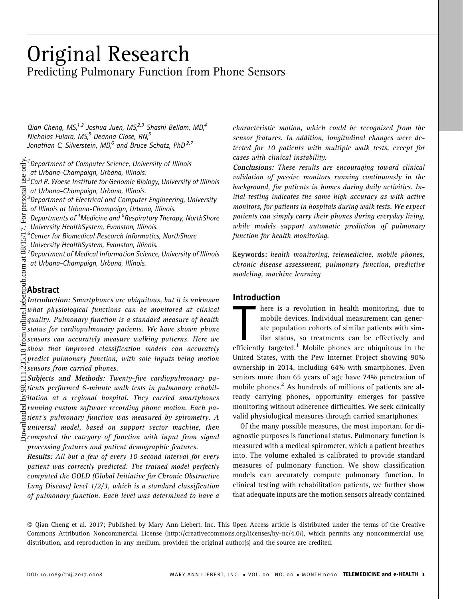# Original Research Predicting Pulmonary Function from Phone Sensors

Qian Cheng, MS, $1,2$  Joshua Juen, MS, $2,3$  Shashi Bellam, MD, $4$ Nicholas Fulara, MS $<sup>5</sup>$  Deanna Close, RN $<sup>5</sup>$ </sup></sup> Jonathan C. Silverstein, MD<sub>r</sub><sup>6</sup> and Bruce Schatz, PhD<sup>2,7</sup>

<sup>1</sup> Department of Computer Science, University of Illinois

at Urbana-Champaign, Urbana, Illinois.

 $2$ Carl R. Woese Institute for Genomic Biology, University of Illinois

at Urbana-Champaign, Urbana, Illinois.<br><sup>3</sup>Denartment of Electrical and Computer

 $3$ Department of Electrical and Computer Engineering, University

of Illinois at Urbana-Champaign, Urbana, Illinois.

- Departments of <sup>4</sup>Medicine and <sup>5</sup>Respiratory Therapy, NorthShore
- University HealthSystem, Evanston, Illinois. 6 Center for Biomedical Research Informatics, NorthShore

University HealthSystem, Evanston, Illinois. 7 Department of Medical Information Science, University of Illinois at Urbana-Champaign, Urbana, Illinois.

# Abstract

 $\frac{5}{2}$ Introduction: Smartphones are ubiquitous, but it is unknown what physiological functions can be monitored at clinical quality. Pulmonary function is a standard measure of health status for cardiopulmonary patients. We have shown phone  $\overline{\epsilon}$  status for cardiopulmonary patients. We have shown phone<br> $\overline{\epsilon}$  sensors can accurately measure walking patterns. Here we  $\overline{\infty}$  show that improved classification models can accurately predict pulmonary function, with sole inputs being motion  $\dot{\gamma}$  sensors from carried phones.

 $\Xi$  Subjects and Methods: Twenty-five cardiopulmonary pa- $\frac{\infty}{\infty}$ tients performed 6-minute walk tests in pulmonary rehabil- $\hat{\Sigma}$ itation at a regional hospital. They carried smartphones  $\overline{\mathcal{C}}$  running custom software recording phone motion. Each pa- $\frac{8}{3}$ tient's pulmonary function was measured by spirometry. A  $\mathbb{\bar{F}}$ universal model, based on support vector machine, then  $\beta$  computed the category of function with input from signal processing features and patient demographic features.

Results: All but a few of every 10-second interval for every patient was correctly predicted. The trained model perfectly computed the GOLD (Global Initiative for Chronic Obstructive Lung Disease) level 1/2/3, which is a standard classification of pulmonary function. Each level was determined to have a characteristic motion, which could be recognized from the sensor features. In addition, longitudinal changes were detected for 10 patients with multiple walk tests, except for cases with clinical instability.

Conclusions: These results are encouraging toward clinical validation of passive monitors running continuously in the background, for patients in homes during daily activities. Initial testing indicates the same high accuracy as with active monitors, for patients in hospitals during walk tests. We expect patients can simply carry their phones during everyday living, while models support automatic prediction of pulmonary function for health monitoring.

Keywords: health monitoring, telemedicine, mobile phones, chronic disease assessment, pulmonary function, predictive modeling, machine learning

# Introduction

here is a revolution in health monitoring, due to<br>mobile devices. Individual measurement can gener-<br>ate population cohorts of similar patients with sim-<br>ilar status, so treatments can be effectively and<br>efficiently targete here is a revolution in health monitoring, due to mobile devices. Individual measurement can generate population cohorts of similar patients with similar status, so treatments can be effectively and United States, with the Pew Internet Project showing 90% ownership in 2014, including 64% with smartphones. Even seniors more than 65 years of age have 74% penetration of mobile phones.<sup>2</sup> As hundreds of millions of patients are already carrying phones, opportunity emerges for passive monitoring without adherence difficulties. We seek clinically valid physiological measures through carried smartphones.

Of the many possible measures, the most important for diagnostic purposes is functional status. Pulmonary function is measured with a medical spirometer, which a patient breathes into. The volume exhaled is calibrated to provide standard measures of pulmonary function. We show classification models can accurately compute pulmonary function. In clinical testing with rehabilitation patients, we further show that adequate inputs are the motion sensors already contained

ª Qian Cheng et al. 2017; Published by Mary Ann Liebert, Inc. This Open Access article is distributed under the terms of the Creative Commons Attribution Noncommercial License (http://creativecommons.org/licenses/by-nc/4.0/), which permits any noncommercial use, distribution, and reproduction in any medium, provided the original author(s) and the source are credited.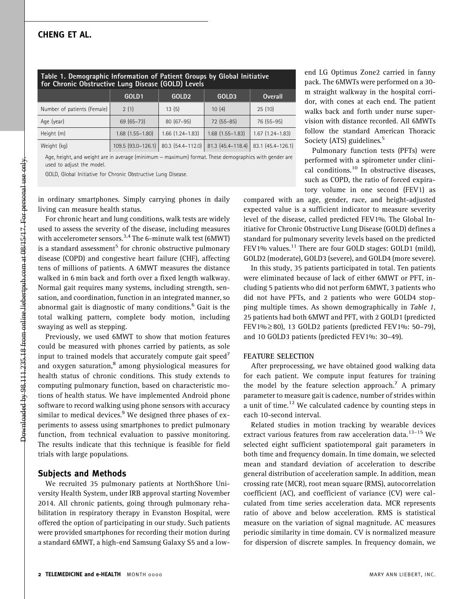| Table 1. Demographic Information of Patient Groups by Global Initiative<br>for Chronic Obstructive Lung Disease (GOLD) Levels |                        |                        |                        |                        |
|-------------------------------------------------------------------------------------------------------------------------------|------------------------|------------------------|------------------------|------------------------|
|                                                                                                                               | GOLD1                  | GOLD <sub>2</sub>      | GOLD3                  | <b>Overall</b>         |
| Number of patients (Female)                                                                                                   | 2(1)                   | 13(5)                  | 10(4)                  | 25(10)                 |
| Age (year)                                                                                                                    | $69(65 - 73)$          | $80(67-95)$            | $72(55-85)$            | 76 (55-95)             |
| Height (m)                                                                                                                    | $1.68$ $(1.55 - 1.80)$ | $1.66$ $(1.24 - 1.83)$ | $1.68$ $(1.55 - 1.83)$ | $1.67$ $(1.24 - 1.83)$ |
| Weight (kg)                                                                                                                   | 109.5 (93.0-126.1)     | 80.3 (54.4-112.0)      | 81.3 (45.4-118.4)      | 83.1 (45.4-126.1)      |
|                                                                                                                               |                        |                        |                        |                        |

Age, height, and weight are in average (minimum - maximum) format. These demographics with gender are used to adjust the model.

GOLD, Global Initiative for Chronic Obstructive Lung Disease.

in ordinary smartphones. Simply carrying phones in daily living can measure health status.

For chronic heart and lung conditions, walk tests are widely used to assess the severity of the disease, including measures with accelerometer sensors.<sup>3,4</sup> The 6-minute walk test (6MWT) is a standard assessment<sup>5</sup> for chronic obstructive pulmonary disease (COPD) and congestive heart failure (CHF), affecting tens of millions of patients. A 6MWT measures the distance walked in 6 min back and forth over a fixed length walkway. Normal gait requires many systems, including strength, sensation, and coordination, function in an integrated manner, so abnormal gait is diagnostic of many conditions.<sup>6</sup> Gait is the total walking pattern, complete body motion, including swaying as well as stepping.

Previously, we used 6MWT to show that motion features could be measured with phones carried by patients, as sole input to trained models that accurately compute gait speed<sup>7</sup> and oxygen saturation,<sup>8</sup> among physiological measures for health status of chronic conditions. This study extends to computing pulmonary function, based on characteristic motions of health status. We have implemented Android phone software to record walking using phone sensors with accuracy similar to medical devices. $9$  We designed three phases of experiments to assess using smartphones to predict pulmonary function, from technical evaluation to passive monitoring. The results indicate that this technique is feasible for field trials with large populations.

#### Subjects and Methods

We recruited 35 pulmonary patients at NorthShore University Health System, under IRB approval starting November 2014. All chronic patients, going through pulmonary rehabilitation in respiratory therapy in Evanston Hospital, were offered the option of participating in our study. Such patients were provided smartphones for recording their motion during a standard 6MWT, a high-end Samsung Galaxy S5 and a lowend LG Optimus Zone2 carried in fanny pack. The 6MWTs were performed on a 30 m straight walkway in the hospital corridor, with cones at each end. The patient walks back and forth under nurse supervision with distance recorded. All 6MWTs follow the standard American Thoracic Society (ATS) guidelines.<sup>5</sup>

Pulmonary function tests (PFTs) were performed with a spirometer under clinical conditions.<sup>10</sup> In obstructive diseases, such as COPD, the ratio of forced expiratory volume in one second (FEV1) as

compared with an age, gender, race, and height-adjusted expected value is a sufficient indicator to measure severity level of the disease, called predicted FEV1%. The Global Initiative for Chronic Obstructive Lung Disease (GOLD) defines a standard for pulmonary severity levels based on the predicted FEV1% values.<sup>11</sup> There are four GOLD stages: GOLD1 (mild), GOLD2 (moderate), GOLD3 (severe), and GOLD4 (more severe).

In this study, 35 patients participated in total. Ten patients were eliminated because of lack of either 6MWT or PFT, including 5 patients who did not perform 6MWT, 3 patients who did not have PFTs, and 2 patients who were GOLD4 stopping multiple times. As shown demographically in Table 1, 25 patients had both 6MWT and PFT, with 2 GOLD1 (predicted FEV1%  $\geq$  80), 13 GOLD2 patients (predicted FEV1%: 50–79), and 10 GOLD3 patients (predicted FEV1%: 30–49).

#### FEATURE SELECTION

After preprocessing, we have obtained good walking data for each patient. We compute input features for training the model by the feature selection approach.<sup>7</sup> A primary parameter to measure gait is cadence, number of strides within a unit of time.<sup>12</sup> We calculated cadence by counting steps in each 10-second interval.

Related studies in motion tracking by wearable devices extract various features from raw acceleration data.<sup>13-15</sup> We selected eight sufficient spatiotemporal gait parameters in both time and frequency domain. In time domain, we selected mean and standard deviation of acceleration to describe general distribution of acceleration sample. In addition, mean crossing rate (MCR), root mean square (RMS), autocorrelation coefficient (AC), and coefficient of variance (CV) were calculated from time series acceleration data. MCR represents ratio of above and below acceleration. RMS is statistical measure on the variation of signal magnitude. AC measures periodic similarity in time domain. CV is normalized measure for dispersion of discrete samples. In frequency domain, we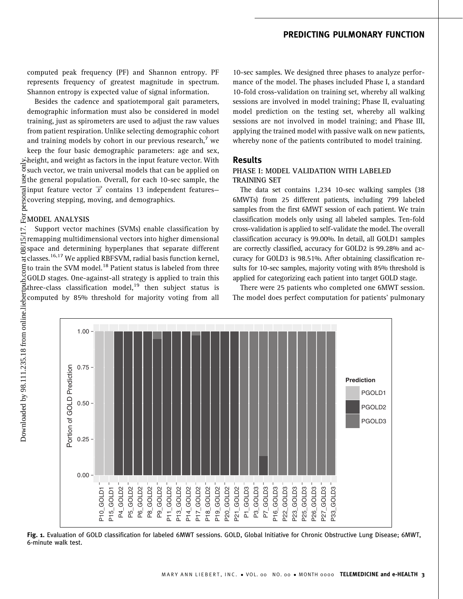# PREDICTING PULMONARY FUNCTION

computed peak frequency (PF) and Shannon entropy. PF represents frequency of greatest magnitude in spectrum. Shannon entropy is expected value of signal information.

Besides the cadence and spatiotemporal gait parameters, demographic information must also be considered in model training, just as spirometers are used to adjust the raw values from patient respiration. Unlike selecting demographic cohort and training models by cohort in our previous research, $<sup>7</sup>$  we</sup> keep the four basic demographic parameters: age and sex, height, and weight as factors in the input feature vector. With  $5$  such vector, we train universal models that can be applied on  $\frac{6}{12}$  the general population. Overall, for each 10-sec sample, the input feature vector  $\vec{x}$  contains 13 independent features– covering stepping, moving, and demographics.

# **EMODEL ANALYSIS**

Support vector machines (SVMs) enable classification by remapping multidimensional vectors into higher dimensional space and determining hyperplanes that separate different  $\frac{1}{6}$  classes.<sup>16,17</sup> We applied RBFSVM, radial basis function kernel,  $\Xi$  to train the SVM model.<sup>18</sup> Patient status is labeled from three GOLD stages. One-against-all strategy is applied to train this  $\Xi$ three-class classification model,<sup>19</sup> then subject status is three-class classification model,<sup>19</sup> then subject status is computed by 85% threshold for majority voting from all

10-sec samples. We designed three phases to analyze performance of the model. The phases included Phase I, a standard 10-fold cross-validation on training set, whereby all walking sessions are involved in model training; Phase II, evaluating model prediction on the testing set, whereby all walking sessions are not involved in model training; and Phase III, applying the trained model with passive walk on new patients, whereby none of the patients contributed to model training.

#### Results

#### PHASE I: MODEL VALIDATION WITH LABELED TRAINING SET

The data set contains 1,234 10-sec walking samples (38 6MWTs) from 25 different patients, including 799 labeled samples from the first 6MWT session of each patient. We train classification models only using all labeled samples. Ten-fold cross-validation is applied to self-validate the model. The overall classification accuracy is 99.00%. In detail, all GOLD1 samples are correctly classified, accuracy for GOLD2 is 99.28% and accuracy for GOLD3 is 98.51%. After obtaining classification results for 10-sec samples, majority voting with 85% threshold is applied for categorizing each patient into target GOLD stage.

There were 25 patients who completed one 6MWT session. The model does perfect computation for patients' pulmonary



Fig. 1. Evaluation of GOLD classification for labeled 6MWT sessions. GOLD, Global Initiative for Chronic Obstructive Lung Disease; 6MWT, 6-minute walk test.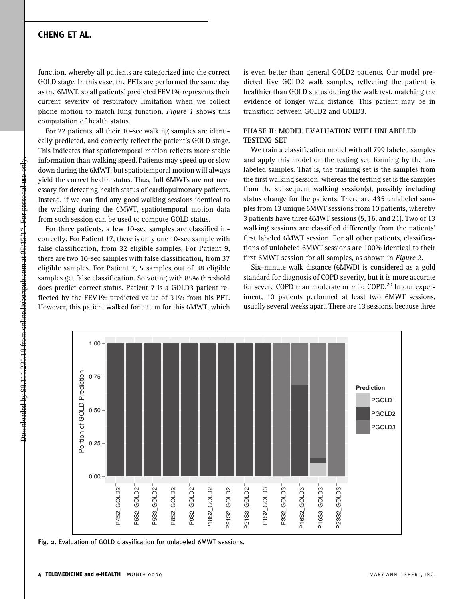# CHENG ET AL.

function, whereby all patients are categorized into the correct GOLD stage. In this case, the PFTs are performed the same day as the 6MWT, so all patients' predicted FEV1% represents their current severity of respiratory limitation when we collect phone motion to match lung function. Figure 1 shows this computation of health status.

For 22 patients, all their 10-sec walking samples are identically predicted, and correctly reflect the patient's GOLD stage. This indicates that spatiotemporal motion reflects more stable information than walking speed. Patients may speed up or slow down during the 6MWT, but spatiotemporal motion will always yield the correct health status. Thus, full 6MWTs are not necessary for detecting health status of cardiopulmonary patients. Instead, if we can find any good walking sessions identical to the walking during the 6MWT, spatiotemporal motion data from such session can be used to compute GOLD status.

For three patients, a few 10-sec samples are classified incorrectly. For Patient 17, there is only one 10-sec sample with false classification, from 32 eligible samples. For Patient 9, there are two 10-sec samples with false classification, from 37 eligible samples. For Patient 7, 5 samples out of 38 eligible samples get false classification. So voting with 85% threshold does predict correct status. Patient 7 is a GOLD3 patient reflected by the FEV1% predicted value of 31% from his PFT. However, this patient walked for 335 m for this 6MWT, which

is even better than general GOLD2 patients. Our model predicted five GOLD2 walk samples, reflecting the patient is healthier than GOLD status during the walk test, matching the evidence of longer walk distance. This patient may be in transition between GOLD2 and GOLD3.

#### PHASE II: MODEL EVALUATION WITH UNLABELED TESTING SET

We train a classification model with all 799 labeled samples and apply this model on the testing set, forming by the unlabeled samples. That is, the training set is the samples from the first walking session, whereas the testing set is the samples from the subsequent walking session(s), possibly including status change for the patients. There are 435 unlabeled samples from 13 unique 6MWT sessions from 10 patients, whereby 3 patients have three 6MWT sessions (5, 16, and 21). Two of 13 walking sessions are classified differently from the patients' first labeled 6MWT session. For all other patients, classifications of unlabeled 6MWT sessions are 100% identical to their first 6MWT session for all samples, as shown in Figure 2.

Six-minute walk distance (6MWD) is considered as a gold standard for diagnosis of COPD severity, but it is more accurate for severe COPD than moderate or mild COPD.<sup>20</sup> In our experiment, 10 patients performed at least two 6MWT sessions, usually several weeks apart. There are 13 sessions, because three



Fig. 2. Evaluation of GOLD classification for unlabeled 6MWT sessions.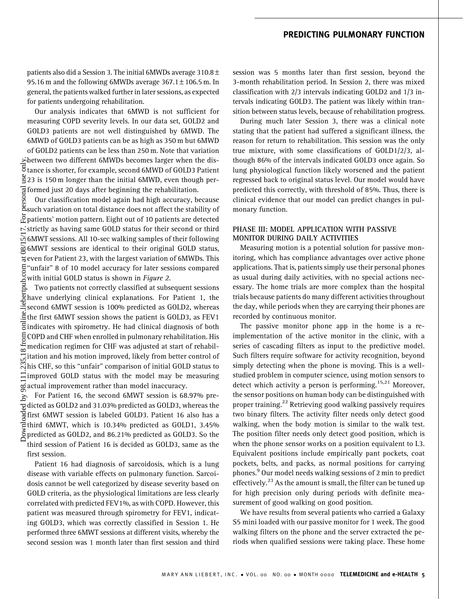# PREDICTING PULMONARY FUNCTION

patients also did a Session 3. The initial 6MWDs average 310.8  $\pm$ 95.16 m and the following 6MWDs average  $367.1 \pm 106.5$  m. In general, the patients walked further in later sessions, as expected for patients undergoing rehabilitation.

Our analysis indicates that 6MWD is not sufficient for measuring COPD severity levels. In our data set, GOLD2 and GOLD3 patients are not well distinguished by 6MWD. The 6MWD of GOLD3 patients can be as high as 350 m but 6MWD of GOLD2 patients can be less than 250 m. Note that variation between two different 6MWDs becomes larger when the distance is shorter, for example, second 6MWD of GOLD3 Patient 23 is 150 m longer than the initial 6MWD, even though performed just 20 days after beginning the rehabilitation.

Our classification model again had high accuracy, because such variation on total distance does not affect the stability of  $\frac{5}{2}$  patients' motion pattern. Eight out of 10 patients are detected  $\sim$  strictly as having same GOLD status for their second or third 6MWT sessions. All 10-sec walking samples of their following 6MWT sessions are identical to their original GOLD status,  $\frac{1}{6}$  even for Patient 23, with the largest variation of 6MWDs. This "unfair" 8 of 10 model accuracy for later sessions compared with initial GOLD status is shown in Figure 2.

Two patients not correctly classified at subsequent sessions have underlying clinical explanations. For Patient 1, the second 6MWT session is 100% predicted as GOLD2, whereas  $\frac{1}{2}$  the first 6MWT session shows the patient is GOLD3, as FEV1  $\overline{5}$  indicates with spirometry. He had clinical diagnosis of both COPD and CHF when enrolled in pulmonary rehabilitation. His medication regimen for CHF was adjusted at start of rehabil- $\frac{\infty}{\infty}$  itation and his motion improved, likely from better control of his CHF, so this ''unfair'' comparison of initial GOLD status to  $\Xi$  improved GOLD status with the model may be measuring  $\frac{a}{\infty}$  actual improvement rather than model inaccuracy. Downloaded by 98.111.235.18 from online.liebertpub.com at 08/15/17. For personal use only.

For Patient 16, the second 6MWT session is  $\overline{68.97\%}$  predicted as GOLD2 and 31.03% predicted as GOLD3, whereas the first 6MWT session is labeled GOLD3. Patient 16 also has a third 6MWT, which is 10.34% predicted as GOLD1, 3.45% predicted as GOLD2, and 86.21% predicted as GOLD3. So the third session of Patient 16 is decided as GOLD3, same as the first session.

Patient 16 had diagnosis of sarcoidosis, which is a lung disease with variable effects on pulmonary function. Sarcoidosis cannot be well categorized by disease severity based on GOLD criteria, as the physiological limitations are less clearly correlated with predicted FEV1%, as with COPD. However, this patient was measured through spirometry for FEV1, indicating GOLD3, which was correctly classified in Session 1. He performed three 6MWT sessions at different visits, whereby the second session was 1 month later than first session and third session was 5 months later than first session, beyond the 3-month rehabilitation period. In Session 2, there was mixed classification with 2/3 intervals indicating GOLD2 and 1/3 intervals indicating GOLD3. The patient was likely within transition between status levels, because of rehabilitation progress.

During much later Session 3, there was a clinical note stating that the patient had suffered a significant illness, the reason for return to rehabilitation. This session was the only true mixture, with some classifications of GOLD1/2/3, although 86% of the intervals indicated GOLD3 once again. So lung physiological function likely worsened and the patient regressed back to original status level. Our model would have predicted this correctly, with threshold of 85%. Thus, there is clinical evidence that our model can predict changes in pulmonary function.

#### PHASE III: MODEL APPLICATION WITH PASSIVE MONITOR DURING DAILY ACTIVITIES

Measuring motion is a potential solution for passive monitoring, which has compliance advantages over active phone applications. That is, patients simply use their personal phones as usual during daily activities, with no special actions necessary. The home trials are more complex than the hospital trials because patients do many different activities throughout the day, while periods when they are carrying their phones are recorded by continuous monitor.

The passive monitor phone app in the home is a reimplementation of the active monitor in the clinic, with a series of cascading filters as input to the predictive model. Such filters require software for activity recognition, beyond simply detecting when the phone is moving. This is a wellstudied problem in computer science, using motion sensors to detect which activity a person is performing.<sup>15,21</sup> Moreover, the sensor positions on human body can be distinguished with proper training.<sup>22</sup> Retrieving good walking passively requires two binary filters. The activity filter needs only detect good walking, when the body motion is similar to the walk test. The position filter needs only detect good position, which is when the phone sensor works on a position equivalent to L3. Equivalent positions include empirically pant pockets, coat pockets, belts, and packs, as normal positions for carrying phones.<sup>9</sup> Our model needs walking sessions of 2 min to predict effectively.<sup>23</sup> As the amount is small, the filter can be tuned up for high precision only during periods with definite measurement of good walking on good position.

We have results from several patients who carried a Galaxy S5 mini loaded with our passive monitor for 1 week. The good walking filters on the phone and the server extracted the periods when qualified sessions were taking place. These home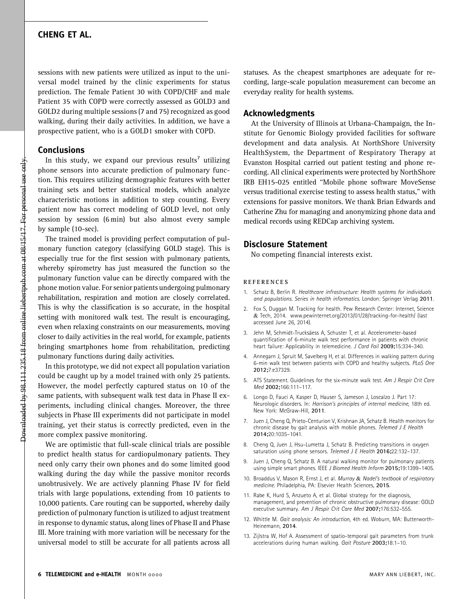## CHENG ET AL.

sessions with new patients were utilized as input to the universal model trained by the clinic experiments for status prediction. The female Patient 30 with COPD/CHF and male Patient 35 with COPD were correctly assessed as GOLD3 and GOLD2 during multiple sessions (7 and 75) recognized as good walking, during their daily activities. In addition, we have a prospective patient, who is a GOLD1 smoker with COPD.

#### Conclusions

In this study, we expand our previous results<sup>7</sup> utilizing phone sensors into accurate prediction of pulmonary function. This requires utilizing demographic features with better training sets and better statistical models, which analyze characteristic motions in addition to step counting. Every patient now has correct modeling of GOLD level, not only session by session (6 min) but also almost every sample by sample (10-sec).

The trained model is providing perfect computation of pulmonary function category (classifying GOLD stage). This is especially true for the first session with pulmonary patients, whereby spirometry has just measured the function so the pulmonary function value can be directly compared with the phone motion value. For senior patients undergoing pulmonary rehabilitation, respiration and motion are closely correlated. This is why the classification is so accurate, in the hospital setting with monitored walk test. The result is encouraging, even when relaxing constraints on our measurements, moving closer to daily activities in the real world, for example, patients bringing smartphones home from rehabilitation, predicting pulmonary functions during daily activities.

In this prototype, we did not expect all population variation could be caught up by a model trained with only 25 patients. However, the model perfectly captured status on 10 of the same patients, with subsequent walk test data in Phase II experiments, including clinical changes. Moreover, the three subjects in Phase III experiments did not participate in model training, yet their status is correctly predicted, even in the more complex passive monitoring.

We are optimistic that full-scale clinical trials are possible to predict health status for cardiopulmonary patients. They need only carry their own phones and do some limited good walking during the day while the passive monitor records unobtrusively. We are actively planning Phase IV for field trials with large populations, extending from 10 patients to 10,000 patients. Care routing can be supported, whereby daily prediction of pulmonary function is utilized to adjust treatment in response to dynamic status, along lines of Phase II and Phase III. More training with more variation will be necessary for the universal model to still be accurate for all patients across all

statuses. As the cheapest smartphones are adequate for recording, large-scale population measurement can become an everyday reality for health systems.

#### Acknowledgments

At the University of Illinois at Urbana-Champaign, the Institute for Genomic Biology provided facilities for software development and data analysis. At NorthShore University HealthSystem, the Department of Respiratory Therapy at Evanston Hospital carried out patient testing and phone recording. All clinical experiments were protected by NorthShore IRB EH15-025 entitled ''Mobile phone software MoveSense versus traditional exercise testing to assess health status,'' with extensions for passive monitors. We thank Brian Edwards and Catherine Zhu for managing and anonymizing phone data and medical records using REDCap archiving system.

#### Disclosure Statement

No competing financial interests exist.

#### **REFERENCES**

- 1. Schatz B, Berlin R. Healthcare infrastructure: Health systems for individuals and populations. Series in health informatics. London: Springer Verlag 2011.
- 2. Fox S, Duggan M. Tracking for health. Pew Research Center: Internet, Science & Tech, 2014. www.pewinternet.org/2013/01/28/tracking-for-health/ (last accessed June 26, 2014).
- 3. Jehn M, Schmidt-Trucksäess A, Schuster T, et al. Accelerometer-based quantification of 6-minute walk test performance in patients with chronic heart failure: Applicability in telemedicine. J Card Fail 2009;15:334-340.
- 4. Annegarn J, Spruit M, Savelberg H, et al. Differences in walking pattern during 6-min walk test between patients with COPD and healthy subjects. PLoS One 2012;7:e37329.
- 5. ATS Statement. Guidelines for the six-minute walk test. Am J Respir Crit Care Med 2002;166:111–117.
- 6. Longo D, Fauci A, Kasper D, Hauser S, Jameson J, Loscalzo J. Part 17: Neurologic disorders. In: Harrison's principles of internal medicine, 18th ed. New York: McGraw-Hill, 2011.
- 7. Juen J, Cheng Q, Prieto-Centurion V, Krishnan JA, Schatz B. Health monitors for chronic disease by gait analysis with mobile phones. Telemed J E Health 2014;20:1035–1041.
- 8. Cheng Q, Juen J, Hsu-Lumetta J, Schatz B. Predicting transitions in oxygen saturation using phone sensors. Telemed J E Health 2016;22:132–137.
- 9. Juen J, Cheng Q, Schatz B. A natural walking monitor for pulmonary patients using simple smart phones. IEEE J Biomed Health Inform 2015;19:1399–1405.
- 10. Broaddus V, Mason R, Ernst J, et al. Murray & Nadel's textbook of respiratory medicine. Philadelphia, PA: Elsevier Health Sciences, 2015.
- 11. Rabe K, Hurd S, Anzueto A, et al. Global strategy for the diagnosis, management, and prevention of chronic obstructive pulmonary disease: GOLD executive summary. Am J Respir Crit Care Med 2007;176:532–555.
- 12. Whittle M. Gait analysis: An introduction, 4th ed. Woburn, MA: Butterworth-Heinemann, 2014.
- 13. Zijlstra W, Hof A. Assessment of spatio-temporal gait parameters from trunk accelerations during human walking. Gait Posture 2003;18:1–10.